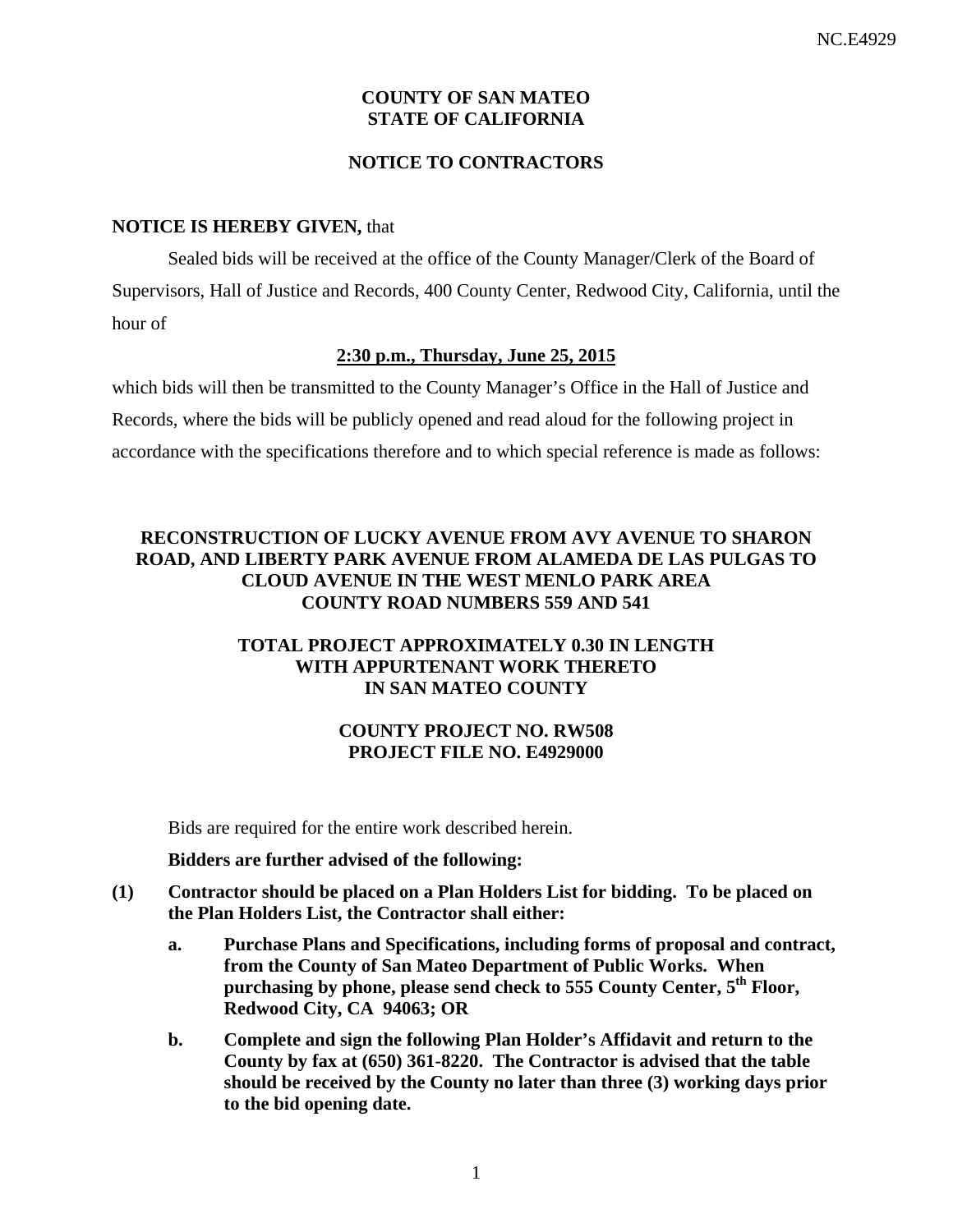# **COUNTY OF SAN MATEO STATE OF CALIFORNIA**

# **NOTICE TO CONTRACTORS**

#### **NOTICE IS HEREBY GIVEN,** that

Sealed bids will be received at the office of the County Manager/Clerk of the Board of Supervisors, Hall of Justice and Records, 400 County Center, Redwood City, California, until the hour of

#### **2:30 p.m., Thursday, June 25, 2015**

which bids will then be transmitted to the County Manager's Office in the Hall of Justice and Records, where the bids will be publicly opened and read aloud for the following project in accordance with the specifications therefore and to which special reference is made as follows:

# **RECONSTRUCTION OF LUCKY AVENUE FROM AVY AVENUE TO SHARON ROAD, AND LIBERTY PARK AVENUE FROM ALAMEDA DE LAS PULGAS TO CLOUD AVENUE IN THE WEST MENLO PARK AREA COUNTY ROAD NUMBERS 559 AND 541**

# **TOTAL PROJECT APPROXIMATELY 0.30 IN LENGTH WITH APPURTENANT WORK THERETO IN SAN MATEO COUNTY**

## **COUNTY PROJECT NO. RW508 PROJECT FILE NO. E4929000**

Bids are required for the entire work described herein.

**Bidders are further advised of the following:** 

- **(1) Contractor should be placed on a Plan Holders List for bidding. To be placed on the Plan Holders List, the Contractor shall either:** 
	- **a. Purchase Plans and Specifications, including forms of proposal and contract, from the County of San Mateo Department of Public Works. When purchasing by phone, please send check to 555 County Center, 5th Floor, Redwood City, CA 94063; OR**
	- **b. Complete and sign the following Plan Holder's Affidavit and return to the County by fax at (650) 361-8220. The Contractor is advised that the table should be received by the County no later than three (3) working days prior to the bid opening date.**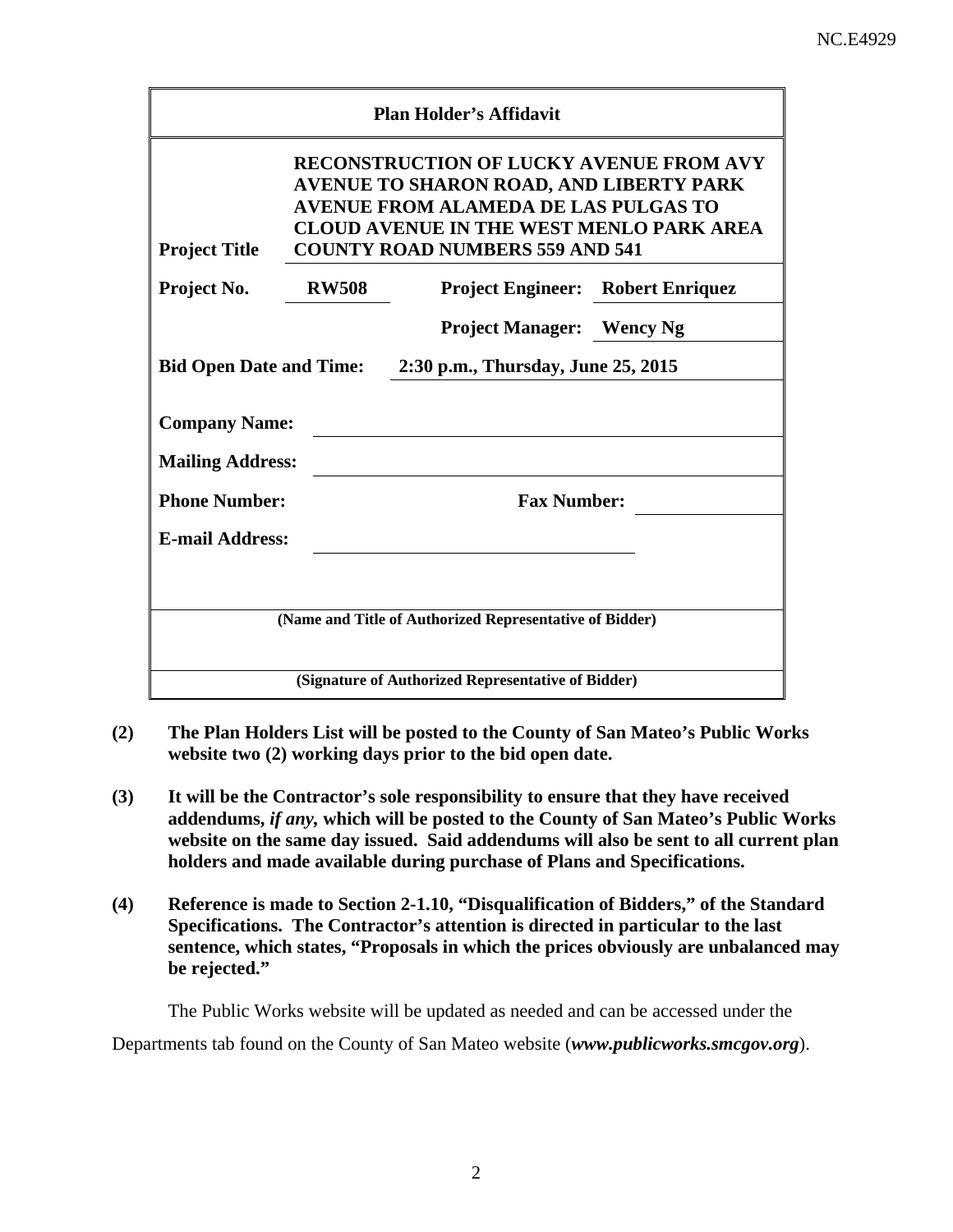| <b>Plan Holder's Affidavit</b>                                                                                                                                                                                                                                |              |                                                         |  |  |  |  |
|---------------------------------------------------------------------------------------------------------------------------------------------------------------------------------------------------------------------------------------------------------------|--------------|---------------------------------------------------------|--|--|--|--|
| <b>RECONSTRUCTION OF LUCKY AVENUE FROM AVY</b><br>AVENUE TO SHARON ROAD, AND LIBERTY PARK<br><b>AVENUE FROM ALAMEDA DE LAS PULGAS TO</b><br><b>CLOUD AVENUE IN THE WEST MENLO PARK AREA</b><br><b>Project Title</b><br><b>COUNTY ROAD NUMBERS 559 AND 541</b> |              |                                                         |  |  |  |  |
| Project No.                                                                                                                                                                                                                                                   | <b>RW508</b> | <b>Project Engineer:</b> Robert Enriquez                |  |  |  |  |
|                                                                                                                                                                                                                                                               |              | <b>Project Manager:</b> Wency Ng                        |  |  |  |  |
| <b>Bid Open Date and Time:</b><br>2:30 p.m., Thursday, June 25, 2015                                                                                                                                                                                          |              |                                                         |  |  |  |  |
| <b>Company Name:</b><br><b>Mailing Address:</b><br><b>Phone Number:</b><br><b>E-mail Address:</b>                                                                                                                                                             |              | <b>Fax Number:</b>                                      |  |  |  |  |
|                                                                                                                                                                                                                                                               |              | (Name and Title of Authorized Representative of Bidder) |  |  |  |  |
| (Signature of Authorized Representative of Bidder)                                                                                                                                                                                                            |              |                                                         |  |  |  |  |

- **(2) The Plan Holders List will be posted to the County of San Mateo's Public Works website two (2) working days prior to the bid open date.**
- **(3) It will be the Contractor's sole responsibility to ensure that they have received addendums,** *if any,* **which will be posted to the County of San Mateo's Public Works website on the same day issued. Said addendums will also be sent to all current plan holders and made available during purchase of Plans and Specifications.**
- **(4) Reference is made to Section 2-1.10, "Disqualification of Bidders," of the Standard Specifications. The Contractor's attention is directed in particular to the last sentence, which states, "Proposals in which the prices obviously are unbalanced may be rejected."**

The Public Works website will be updated as needed and can be accessed under the

Departments tab found on the County of San Mateo website (*www.publicworks.smcgov.org*).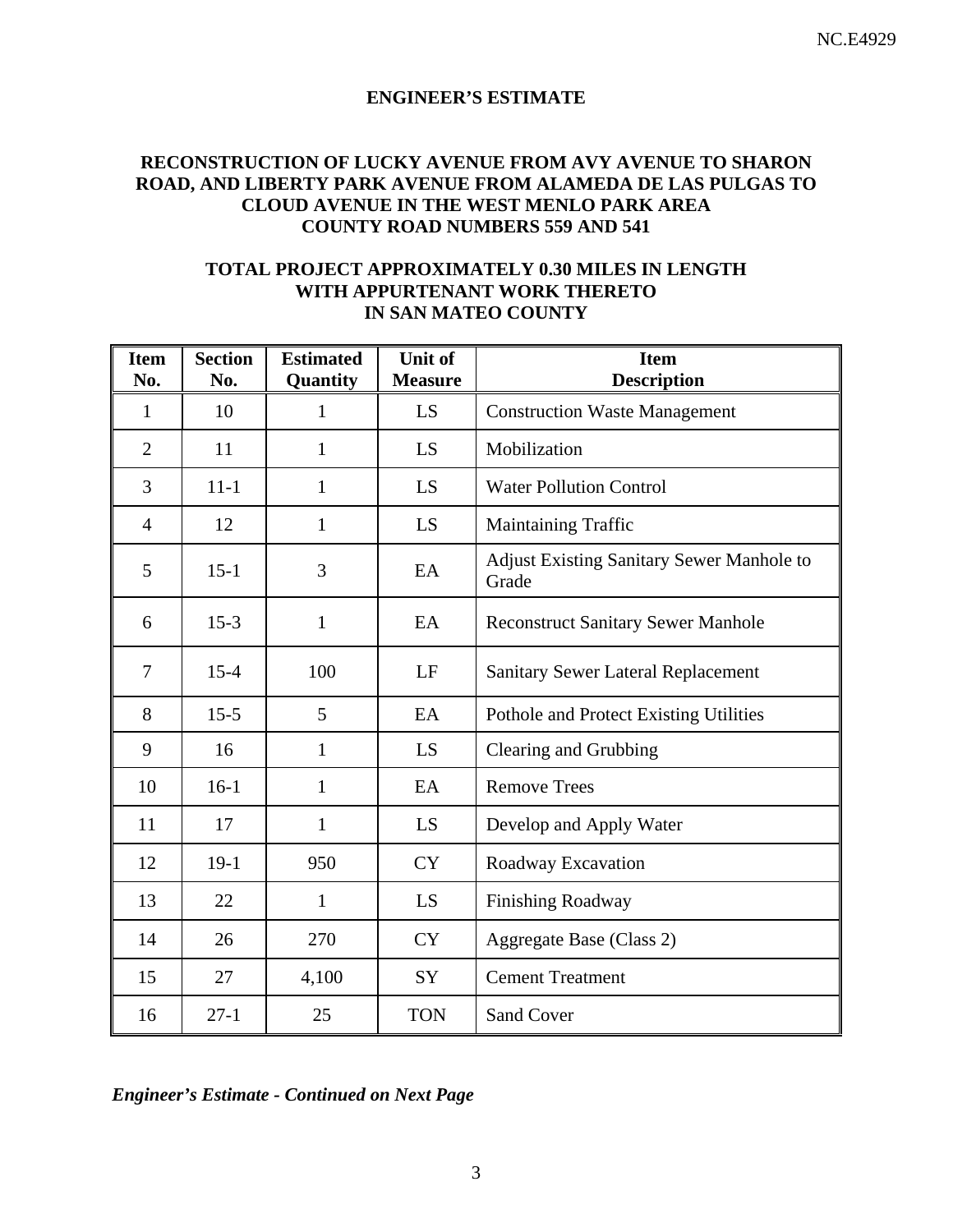### **ENGINEER'S ESTIMATE**

# **RECONSTRUCTION OF LUCKY AVENUE FROM AVY AVENUE TO SHARON ROAD, AND LIBERTY PARK AVENUE FROM ALAMEDA DE LAS PULGAS TO CLOUD AVENUE IN THE WEST MENLO PARK AREA COUNTY ROAD NUMBERS 559 AND 541**

## **TOTAL PROJECT APPROXIMATELY 0.30 MILES IN LENGTH WITH APPURTENANT WORK THERETO IN SAN MATEO COUNTY**

| <b>Item</b><br>No. | <b>Section</b><br>No. | <b>Estimated</b><br>Quantity | <b>Unit of</b><br><b>Measure</b> | <b>Item</b><br><b>Description</b>                         |
|--------------------|-----------------------|------------------------------|----------------------------------|-----------------------------------------------------------|
| $\mathbf{1}$       | 10                    | 1                            | LS                               | <b>Construction Waste Management</b>                      |
| $\overline{2}$     | 11                    | $\mathbf{1}$                 | LS                               | Mobilization                                              |
| $\overline{3}$     | $11 - 1$              | $\mathbf{1}$                 | LS                               | <b>Water Pollution Control</b>                            |
| $\overline{4}$     | 12                    | 1                            | LS                               | Maintaining Traffic                                       |
| 5                  | $15 - 1$              | 3                            | EA                               | <b>Adjust Existing Sanitary Sewer Manhole to</b><br>Grade |
| 6                  | $15-3$                | $\mathbf{1}$                 | EA                               | <b>Reconstruct Sanitary Sewer Manhole</b>                 |
| $\tau$             | $15 - 4$              | 100                          | LF                               | <b>Sanitary Sewer Lateral Replacement</b>                 |
| 8                  | $15-5$                | 5                            | EA                               | Pothole and Protect Existing Utilities                    |
| 9                  | 16                    | $\mathbf{1}$                 | LS                               | Clearing and Grubbing                                     |
| 10                 | $16-1$                | $\mathbf{1}$                 | EA                               | <b>Remove Trees</b>                                       |
| 11                 | 17                    | $\mathbf{1}$                 | LS                               | Develop and Apply Water                                   |
| 12                 | $19-1$                | 950                          | <b>CY</b>                        | Roadway Excavation                                        |
| 13                 | 22                    | $\mathbf{1}$                 | LS                               | Finishing Roadway                                         |
| 14                 | 26                    | 270                          | <b>CY</b>                        | Aggregate Base (Class 2)                                  |
| 15                 | 27                    | 4,100                        | SY                               | <b>Cement Treatment</b>                                   |
| 16                 | $27-1$                | 25                           | <b>TON</b>                       | <b>Sand Cover</b>                                         |

*Engineer's Estimate - Continued on Next Page*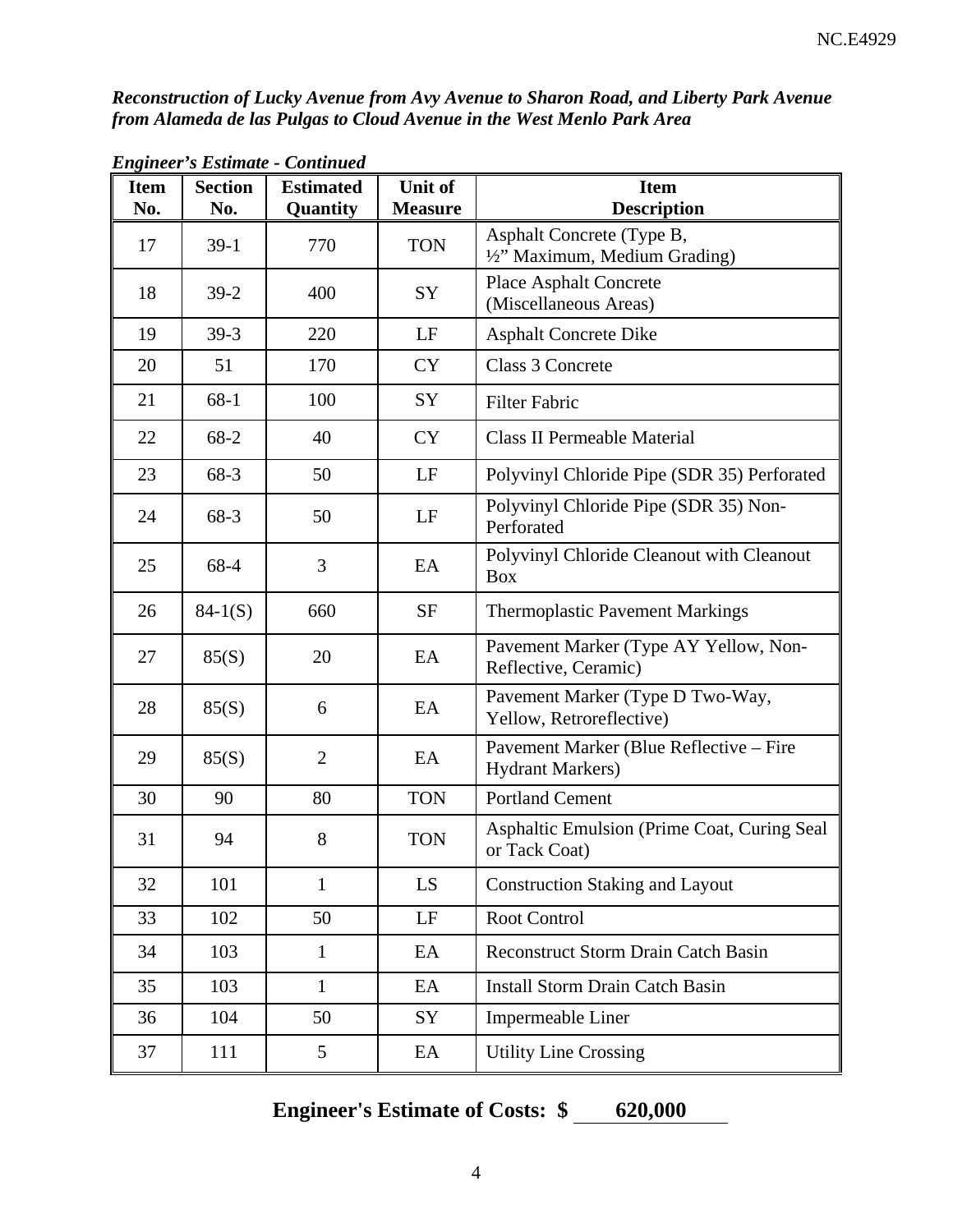*Reconstruction of Lucky Avenue from Avy Avenue to Sharon Road, and Liberty Park Avenue from Alameda de las Pulgas to Cloud Avenue in the West Menlo Park Area* 

| <b>Item</b><br>No. | <b>Section</b><br>No. | <b>Estimated</b><br>Quantity | Unit of<br><b>Measure</b> | <b>Item</b><br><b>Description</b>                                  |
|--------------------|-----------------------|------------------------------|---------------------------|--------------------------------------------------------------------|
| 17                 | $39-1$                | 770                          | <b>TON</b>                | Asphalt Concrete (Type B,<br>1/2" Maximum, Medium Grading)         |
| 18                 | $39-2$                | 400                          | SY                        | <b>Place Asphalt Concrete</b><br>(Miscellaneous Areas)             |
| 19                 | $39-3$                | 220                          | LF                        | <b>Asphalt Concrete Dike</b>                                       |
| 20                 | 51                    | 170                          | <b>CY</b>                 | Class 3 Concrete                                                   |
| 21                 | $68-1$                | 100                          | SY                        | <b>Filter Fabric</b>                                               |
| 22                 | $68 - 2$              | 40                           | <b>CY</b>                 | <b>Class II Permeable Material</b>                                 |
| 23                 | 68-3                  | 50                           | LF                        | Polyvinyl Chloride Pipe (SDR 35) Perforated                        |
| 24                 | 68-3                  | 50                           | LF                        | Polyvinyl Chloride Pipe (SDR 35) Non-<br>Perforated                |
| 25                 | 68-4                  | 3                            | EA                        | Polyvinyl Chloride Cleanout with Cleanout<br><b>Box</b>            |
| 26                 | $84-1(S)$             | 660                          | <b>SF</b>                 | <b>Thermoplastic Pavement Markings</b>                             |
| 27                 | 85(S)                 | 20                           | EA                        | Pavement Marker (Type AY Yellow, Non-<br>Reflective, Ceramic)      |
| 28                 | 85(S)                 | 6                            | EA                        | Pavement Marker (Type D Two-Way,<br>Yellow, Retroreflective)       |
| 29                 | 85(S)                 | $\overline{2}$               | EA                        | Pavement Marker (Blue Reflective – Fire<br><b>Hydrant Markers)</b> |
| 30                 | 90                    | 80                           | <b>TON</b>                | <b>Portland Cement</b>                                             |
| 31                 | 94                    | 8                            | <b>TON</b>                | Asphaltic Emulsion (Prime Coat, Curing Seal)<br>or Tack Coat)      |
| 32                 | 101                   | $\mathbf{1}$                 | LS                        | <b>Construction Staking and Layout</b>                             |
| 33                 | 102                   | 50                           | $\rm LF$                  | Root Control                                                       |
| 34                 | 103                   | $\mathbf{1}$                 | EA                        | <b>Reconstruct Storm Drain Catch Basin</b>                         |
| 35                 | 103                   | $\mathbf{1}$                 | EA                        | <b>Install Storm Drain Catch Basin</b>                             |
| 36                 | 104                   | 50                           | SY                        | Impermeable Liner                                                  |
| 37                 | 111                   | 5                            | EA                        | <b>Utility Line Crossing</b>                                       |

*Engineer's Estimate - Continued* 

**Engineer's Estimate of Costs:**  $\frac{620,000}{6}$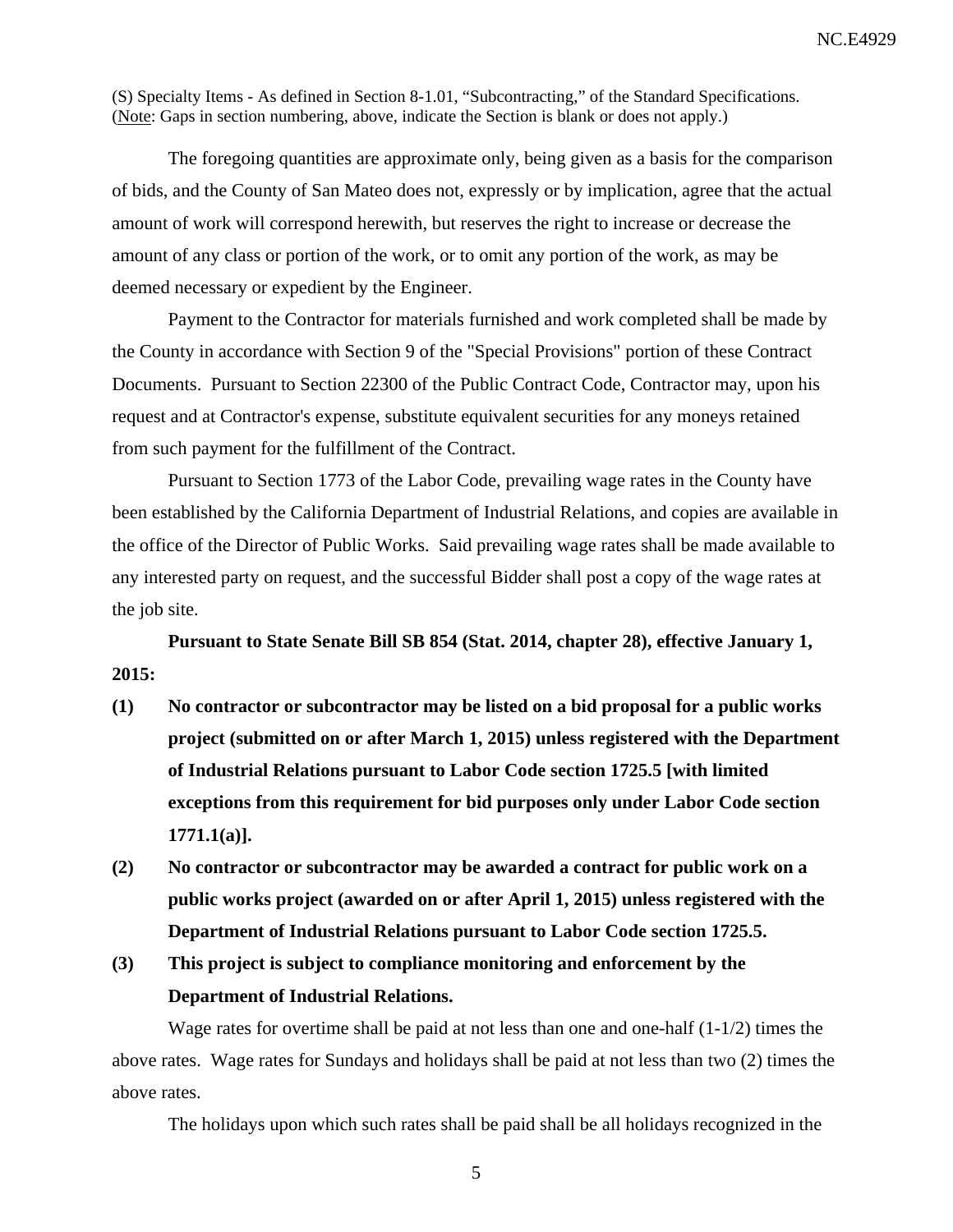(S) Specialty Items - As defined in Section 8-1.01, "Subcontracting," of the Standard Specifications. (Note: Gaps in section numbering, above, indicate the Section is blank or does not apply.)

The foregoing quantities are approximate only, being given as a basis for the comparison of bids, and the County of San Mateo does not, expressly or by implication, agree that the actual amount of work will correspond herewith, but reserves the right to increase or decrease the amount of any class or portion of the work, or to omit any portion of the work, as may be deemed necessary or expedient by the Engineer.

Payment to the Contractor for materials furnished and work completed shall be made by the County in accordance with Section 9 of the "Special Provisions" portion of these Contract Documents. Pursuant to Section 22300 of the Public Contract Code, Contractor may, upon his request and at Contractor's expense, substitute equivalent securities for any moneys retained from such payment for the fulfillment of the Contract.

Pursuant to Section 1773 of the Labor Code, prevailing wage rates in the County have been established by the California Department of Industrial Relations, and copies are available in the office of the Director of Public Works. Said prevailing wage rates shall be made available to any interested party on request, and the successful Bidder shall post a copy of the wage rates at the job site.

**Pursuant to State Senate Bill SB 854 (Stat. 2014, chapter 28), effective January 1, 2015:** 

- **(1) No contractor or subcontractor may be listed on a bid proposal for a public works project (submitted on or after March 1, 2015) unless registered with the Department of Industrial Relations pursuant to Labor Code section 1725.5 [with limited exceptions from this requirement for bid purposes only under Labor Code section 1771.1(a)].**
- **(2) No contractor or subcontractor may be awarded a contract for public work on a public works project (awarded on or after April 1, 2015) unless registered with the Department of Industrial Relations pursuant to Labor Code section 1725.5.**
- **(3) This project is subject to compliance monitoring and enforcement by the Department of Industrial Relations.**

Wage rates for overtime shall be paid at not less than one and one-half  $(1-1/2)$  times the above rates. Wage rates for Sundays and holidays shall be paid at not less than two (2) times the above rates.

The holidays upon which such rates shall be paid shall be all holidays recognized in the

5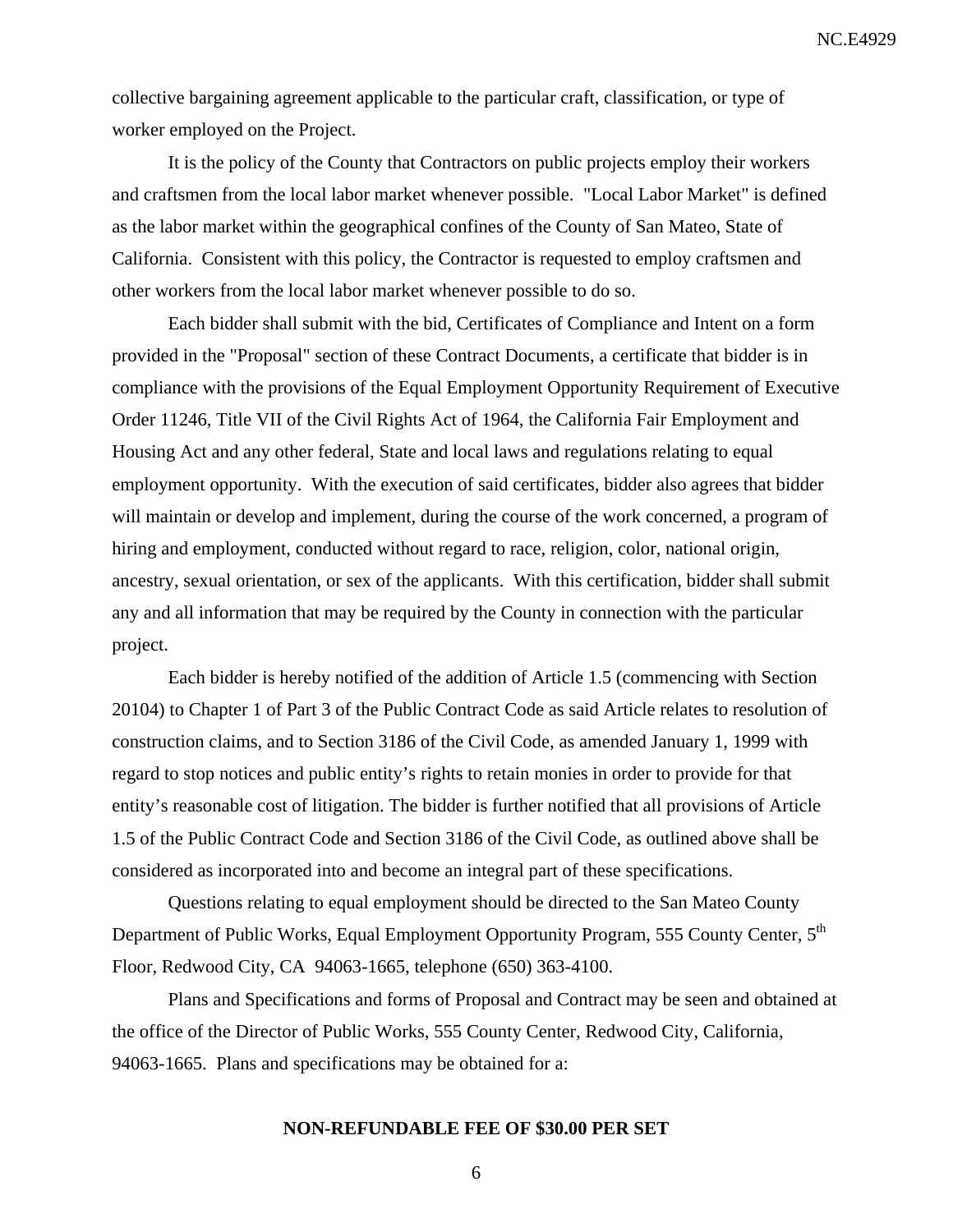NC.E4929

collective bargaining agreement applicable to the particular craft, classification, or type of worker employed on the Project.

It is the policy of the County that Contractors on public projects employ their workers and craftsmen from the local labor market whenever possible. "Local Labor Market" is defined as the labor market within the geographical confines of the County of San Mateo, State of California. Consistent with this policy, the Contractor is requested to employ craftsmen and other workers from the local labor market whenever possible to do so.

Each bidder shall submit with the bid, Certificates of Compliance and Intent on a form provided in the "Proposal" section of these Contract Documents, a certificate that bidder is in compliance with the provisions of the Equal Employment Opportunity Requirement of Executive Order 11246, Title VII of the Civil Rights Act of 1964, the California Fair Employment and Housing Act and any other federal, State and local laws and regulations relating to equal employment opportunity. With the execution of said certificates, bidder also agrees that bidder will maintain or develop and implement, during the course of the work concerned, a program of hiring and employment, conducted without regard to race, religion, color, national origin, ancestry, sexual orientation, or sex of the applicants. With this certification, bidder shall submit any and all information that may be required by the County in connection with the particular project.

Each bidder is hereby notified of the addition of Article 1.5 (commencing with Section 20104) to Chapter 1 of Part 3 of the Public Contract Code as said Article relates to resolution of construction claims, and to Section 3186 of the Civil Code, as amended January 1, 1999 with regard to stop notices and public entity's rights to retain monies in order to provide for that entity's reasonable cost of litigation. The bidder is further notified that all provisions of Article 1.5 of the Public Contract Code and Section 3186 of the Civil Code, as outlined above shall be considered as incorporated into and become an integral part of these specifications.

Questions relating to equal employment should be directed to the San Mateo County Department of Public Works, Equal Employment Opportunity Program, 555 County Center, 5<sup>th</sup> Floor, Redwood City, CA 94063-1665, telephone (650) 363-4100.

Plans and Specifications and forms of Proposal and Contract may be seen and obtained at the office of the Director of Public Works, 555 County Center, Redwood City, California, 94063-1665. Plans and specifications may be obtained for a:

#### **NON-REFUNDABLE FEE OF \$30.00 PER SET**

6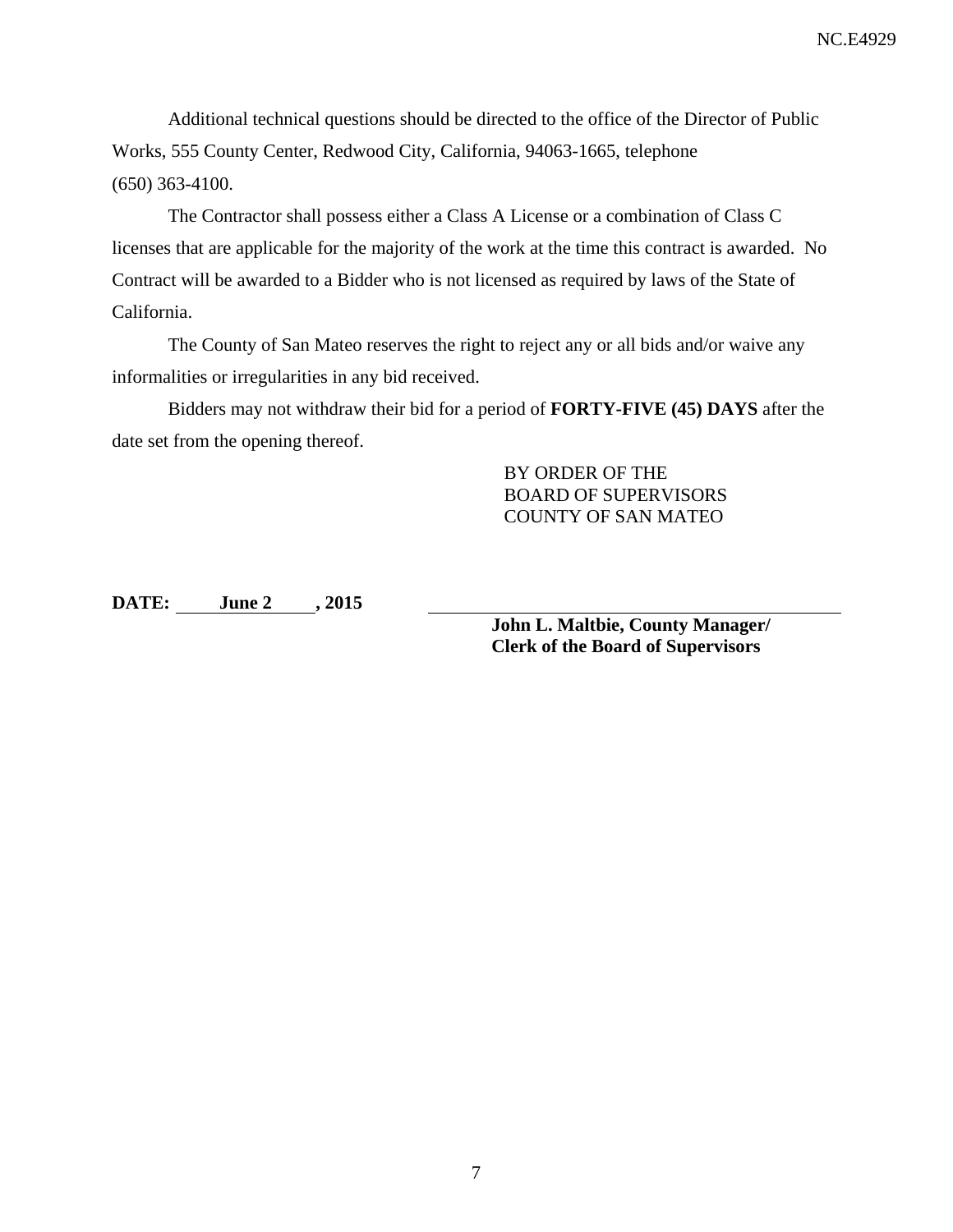NC.E4929

Additional technical questions should be directed to the office of the Director of Public Works, 555 County Center, Redwood City, California, 94063-1665, telephone (650) 363-4100.

The Contractor shall possess either a Class A License or a combination of Class C licenses that are applicable for the majority of the work at the time this contract is awarded. No Contract will be awarded to a Bidder who is not licensed as required by laws of the State of California.

The County of San Mateo reserves the right to reject any or all bids and/or waive any informalities or irregularities in any bid received.

Bidders may not withdraw their bid for a period of **FORTY-FIVE (45) DAYS** after the date set from the opening thereof.

> BY ORDER OF THE BOARD OF SUPERVISORS COUNTY OF SAN MATEO

**DATE: June 2 , 2015** 

**John L. Maltbie, County Manager/ Clerk of the Board of Supervisors**